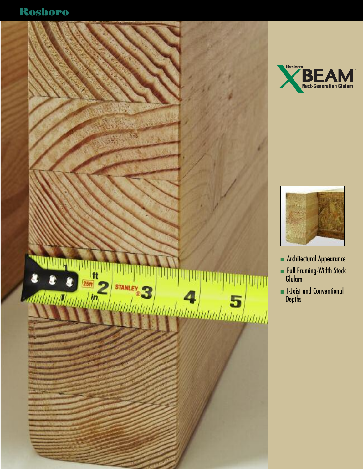





- **n** Architectural Appearance
- $\blacksquare$  Full Framing-Width Stock Glulam
- **n** I-Joist and Conventional **Depths**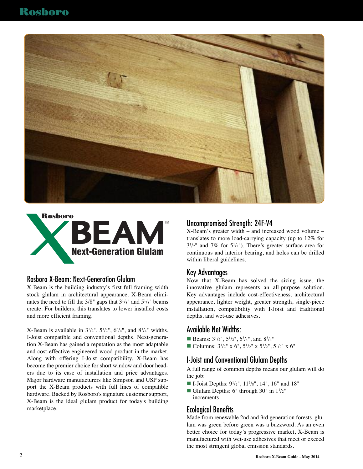



#### Rosboro X-Beam: Next-Generation Glulam

X-Beam is the building industry's first full framing-width stock glulam in architectural appearance. X-Beam eliminates the need to fill the  $3/8$ " gaps that  $3^{1}/s$ " and  $5^{1}/s$ " beams create. For builders, this translates to lower installed costs and more efficient framing.

X-Beam is available in  $3^{1}/2"$ ,  $5^{1}/2"$ ,  $6^{3}/4"$ , and  $8^{3}/4"$  widths, I-Joist compatible and conventional depths. Next-generation X-Beam has gained a reputation as the most adaptable and cost-effective engineered wood product in the market. Along with offering I-Joist compatibility, X-Beam has become the premier choice for short window and door headers due to its ease of installation and price advantages. Major hardware manufacturers like Simpson and USP support the X-Beam products with full lines of compatible hardware. Backed by Rosboro's signature customer support, X-Beam is the ideal glulam product for today's building marketplace.

### Uncompromised Strength: 24F-V4

X-Beam's greater width – and increased wood volume – translates to more load-carrying capacity (up to 12% for  $3^{1/2}$ " and 7% for  $5^{1/2}$ "). There's greater surface area for continuous and interior bearing, and holes can be drilled within liberal guidelines.

#### Key Advantages

Now that X-Beam has solved the sizing issue, the innovative glulam represents an all-purpose solution. Key advantages include cost-effectiveness, architectural appearance, lighter weight, greater strength, single-piece installation, compatibility with I-Joist and traditional depths, and wet-use adhesives.

### Available Net Widths:

- **Beams:**  $3^{1}/2$ ",  $5^{1}/2$ ",  $6^{3}/4$ ", and  $8^{3}/4$ "
- Columns:  $3^{1}/2$ " x 6",  $5^{1}/2$ " x  $5^{1}/2$ ",  $5^{1}/2$ " x 6"

### I-Joist and Conventional Glulam Depths

A full range of common depths means our glulam will do the job:

- $\blacksquare$  I-Joist Depths:  $9^{1}/2"$ ,  $11^{7}/8"$ ,  $14"$ ,  $16"$  and  $18"$
- Glulam Depths: 6" through  $30"$  in  $1^{1}/2"$ increments

## Ecological Benefits

Made from renewable 2nd and 3rd generation forests, glulam was green before green was a buzzword. As an even better choice for today's progressive market, X-Beam is manufactured with wet-use adhesives that meet or exceed the most stringent global emission standards.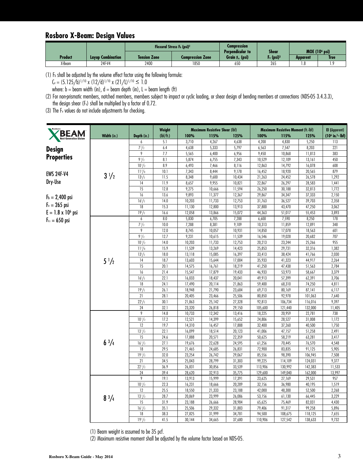#### **Rosboro X-Beam: Design Values**

|         |                          |                     | Flexural Stress F <sub>b</sub> (psi) <sup>2</sup> | Compression                                           |                                                   |          |                         |
|---------|--------------------------|---------------------|---------------------------------------------------|-------------------------------------------------------|---------------------------------------------------|----------|-------------------------|
| Product | <b>Lavup Combination</b> | <b>Tension Zone</b> | Compression Zone                                  | <b>Perpendicular to</b><br>Grain F <sub>a</sub> (psi) | <b>Shear</b><br>F <sub>v</sub> (psi) <sup>3</sup> | Apparent | MOE $(106 psi)$<br>True |
| X-Beam  | 24F-V4                   | 2400                | 1850                                              | 650                                                   | 265                                               | . . 8    |                         |

(1) Fb shall be adjusted by the volume effect factor using the following formula:

 $C_v = (5.125/b)^{1/10}$  x  $(12/d)^{1/10}$  x  $(21/L)^{1/10} \le 1.0$ 

where:  $b =$  beam width (in),  $d =$  beam depth (in),  $L =$  beam length (ft)

(2) For non-prismatic members, notched members, members subject to impact or cyclic loading, or shear design of bending members at connections (NDS-05 3.4.3.3), the design shear (Fv) shall be multiplied by a factor of 0.72.

(3) The Fv values do not include adjustments for checking.

|                               |                |                  | Weight       |                  | <b>Maximum Resistive Shear (lbf)</b> |                  |                   | <b>Maximum Resistive Moment (ft.-lbf)</b> |                    | <b>El</b> (Apparent) |
|-------------------------------|----------------|------------------|--------------|------------------|--------------------------------------|------------------|-------------------|-------------------------------------------|--------------------|----------------------|
| <b>Next-Generation Glulam</b> | Width (in.)    | Depth (in.)      | (lbf/ft.)    | 100%             | 115%                                 | 125%             | 100%              | 115%                                      | 125%               | $(106 in.2 - lbf)$   |
|                               |                | 6                | 5.1          | 3,710            | 4,267                                | 4,638            | 4,200             | 4,830                                     | 5,250              | 113                  |
| <b>Design</b>                 |                | $7^{1}/2$        | 6.4          | 4,638            | 5,333                                | 5,797            | 6,563             | 7,547                                     | 8,203              | 221                  |
| <b>Properties</b>             |                | 9                | 7.7          | 5,565            | 6,400                                | 6,956            | 9,450             | 10,868                                    | 11,813             | 383                  |
|                               |                | 91/2             | 8.1          | 5,874            | 6,755                                | 7,343            | 10,529            | 12,109                                    | 13,161             | 450                  |
|                               |                | $10^{1/2}$       | 8.9          | 6,493            | 7,466                                | 8,116            | 12,863            | 14,792                                    | 16,078             | 608                  |
| <b>EWS 24F-V4</b>             | $3\frac{1}{2}$ | $11^{7}/8$       | 10.1         | 7,343            | 8,444                                | 9,178            | 16,452            | 18,920                                    | 20,565             | 879                  |
| Dry-Use                       |                | $13^{1/2}$       | 11.5         | 8,348            | 9,600                                | 10,434           | 21,263            | 24,452                                    | 26,578             | 1,292                |
|                               |                | 14               | 11.9         | 8,657            | 9,955                                | 10,821           | 22,867            | 26,297                                    | 28,583             | 1,441                |
|                               |                | 15               | 12.8         | 9,275            | 10,666                               | 11,594           | 26,250            | 30,188                                    | 32,813             | 1,772                |
| $F_b = 2,400$ psi             |                | 16               | 13.6         | 9,893            | 11,377                               | 12,367           | 29,867            | 34,347                                    | 37,333             | 2,150                |
| $F_v = 265$ psi               |                | $16^{1}/2$       | 14.0         | 10,203           | 11,733                               | 12,753           | 31,763            | 36,527                                    | 39,703             | 2,358                |
|                               |                | 18               | 15.3         | 11,130           | 12,800                               | 13,913           | 37,800            | 43,470                                    | 47,250             | 3,062                |
| $E = 1.8 \times 10^6$ psi     |                | $19^{1}/2$       | 16.6         | 12,058           | 13,866                               | 15,072           | 44,363            | 51,017                                    | 55,453             | 3,893                |
| $F_{c1} = 650$ psi            |                | $\boldsymbol{6}$ | 8.0          | 5,830            | 6,705                                | 7,288            | 6,600             | 7,590                                     | 8,250              | 178                  |
|                               |                | $7^{1/2}$        | 10.0         | 7,288            | 8,381                                | 9,109            | 10,313            | 11,859                                    | 12,891             | 348                  |
|                               |                | 9                | 12.0         | 8,745            | 10,057                               | 10,931           | 14,850            | 17,078                                    | 18,563             | 601                  |
|                               |                | $9\frac{1}{2}$   | 12.7         | 9,231            | 10,615                               | 11,539           | 16,546            | 19,028                                    | 20,682             | 707                  |
|                               |                | $10^{1/2}$       | 14.0         | 10,203           | 11,733                               | 12,753           | 20,213            | 23,244                                    | 25,266             | 955                  |
|                               |                | $11\frac{7}{8}$  | 15.9         | 11,539           | 13,269                               | 14,423           | 25,853            | 29,731                                    | 32,316             | 1,382                |
|                               |                | $13^{1}/2$       | 18.0         | 13,118           | 15,085                               | 16,397           | 33,413            | 38,424                                    | 41,766             | 2,030                |
|                               | $5\frac{1}{2}$ | 14               | 18.7         | 13,603           | 15,644                               | 17,004           | 35,933            | 41,323                                    | 44,917             | 2,264                |
|                               |                | 15               | 20.1         | 14,575           | 16,761                               | 18,219           | 41,250            | 47,438                                    | 51,563             | 2,784                |
|                               |                | 16               | 21.4         | 15,547           | 17,879                               | 19,433           | 46,933            | 53,973                                    | 58,667             | 3,379                |
|                               |                | $16^{1/2}$       | 22.1         | 16,033           | 18,437                               | 20,041           | 49,913            | 57,399                                    | 62,391             | 3,706                |
|                               |                | 18               | 24.1         | 17,490           | 20,114                               | 21,863           | 59,400            | 68,310                                    | 74,250             | 4,811                |
|                               |                | $19^{1}/2$       | 26.1         | 18,948           | 21,790                               | 23,684           | 69,713            | 80,169                                    | 87,141             | 6,117                |
|                               |                | 21               | 28.1         | 20,405           | 23,466                               | 25,506           | 80,850            | 92,978                                    | 101,063            | 7,640                |
|                               |                | $22^{1/2}$       | 30.1         | 21,863           | 25,142                               | 27,328           | 92,813            | 106,734                                   | 116,016            | 9,397                |
|                               |                | 24<br>9          | 32.1         | 23,320           | 26,818                               | 29,150           | 105,600           | 121,440                                   | 132,000            | 11,405               |
|                               |                |                  | 14.8         | 10,733           | 12,342                               | 13,416           | 18,225            | 20,959                                    | 22,781             | 738                  |
|                               |                | $10^{1/2}$       | 17.2         | 12,521           | 14,399                               | 15,652           | 24,806            | 28,527                                    | 31,008             | 1,172                |
|                               |                | $12\,$           | 19.7         | 14,310           | 16,457                               | 17,888           | 32,400            | 37,260                                    | 40,500             | 1,750                |
|                               |                | $13^{1/2}$       | 22.1         | 16,099           | 18,514                               | 20,123           | 41,006            | 47,157                                    | 51,258             | 2,491                |
|                               | $6\frac{3}{4}$ | 15<br>$16^{1}/2$ | 24.6         | 17,888           | 20,571                               | 22,359           | 50,625            | 58,219                                    | 63,281             | 3,417                |
|                               |                | 18               | 27.1<br>29.5 | 19,676           | 22,628                               | 24,595           | 61,256<br>72,900  | 70,445                                    | 76,570             | 4,548                |
|                               |                |                  |              | 21,465           | 24,685                               | 26,831           |                   | 83,835                                    | 91,125             | 5,905                |
|                               |                | $19^{1}/2$       | 32.0         | 23,254           | 26,742                               | 29,067           | 85,556            | 98,390                                    | 106,945            | 7,508                |
|                               |                | 21<br>$22^{1/2}$ | 34.5<br>36.9 | 25,043<br>26,831 | 28,799<br>30,856                     | 31,303<br>33,539 | 99,225<br>113,906 | 114,109<br>130,992                        | 124,031<br>142,383 | 9,377<br>11,533      |
|                               |                | 24               | 39.4         | 28,620           | 32,913                               | 35,775           | 129,600           | 149,040                                   | 162,000            | 13,997               |
|                               |                | 9                | 19.1         | 13,913           | 15,999                               | 17,391           | 23,625            | 27,169                                    | 29,531             | 957                  |
|                               |                | $10^{1/2}$       | 22.3         | 16,231           | 18,666                               | 20,289           | 32,156            | 36,980                                    | 40,195             | 1,519                |
|                               |                | 12               | 25.5         | 18,550           | 21,333                               | 23,188           | 42,000            | 48,300                                    | 52,500             | 2,268                |
|                               |                | $13^{1/2}$       | 28.7         | 20,869           | 23,999                               | 26,086           | 53,156            | 61,130                                    | 66,445             | 3,229                |
|                               | $8^{3}/_{4}$   | 15               | 31.9         | 23,188           | 26,666                               | 28,984           | 65,625            | 75,469                                    | 82,031             | 4,430                |
|                               |                |                  | 35.1         |                  | 29,332                               |                  |                   | 91,317                                    |                    | 5,896                |
|                               |                | $16^{1}/2$<br>18 | 38.3         | 25,506<br>27,825 | 31,999                               | 31,883<br>34,781 | 79,406<br>94,500  | 108,675                                   | 99,258<br>118,125  | 7,655                |
|                               |                |                  |              |                  |                                      |                  |                   |                                           |                    |                      |
|                               |                | $19^{1}/2$       | 41.5         | 30,144           | 34,665                               | 37,680           | 110,906           | 127,542                                   | 138,633            | 9,732                |

(1) Beam weight is assumed to be 35 pcf.

(2) Maximum resistive moment shall be adjusted by the volume factor based on NDS-05.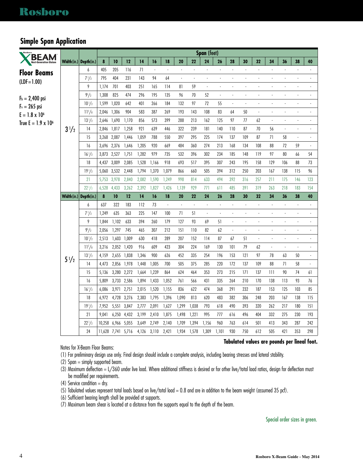### **Simple Span Application**

| <b>BEAM</b>                   |                         |                         |        |                             |       |                |                |                |                          |                          | Span (feet)          |                |                          |                          |                          |                          |                          |                          |                          |
|-------------------------------|-------------------------|-------------------------|--------|-----------------------------|-------|----------------|----------------|----------------|--------------------------|--------------------------|----------------------|----------------|--------------------------|--------------------------|--------------------------|--------------------------|--------------------------|--------------------------|--------------------------|
| <b>Next-Generation Glulam</b> |                         | Width (in.) Depth (in.) | 8      | 10                          | 12    | 14             | 16             | 18             | 20                       | 22                       | 24                   | 26             | 28                       | 30                       | 32                       | 34                       | 36                       | 38                       | 40                       |
| <b>Floor Beams</b>            |                         | 6                       | 405    | 205                         | 116   | 71             | $\blacksquare$ | ä,             | $\overline{\phantom{a}}$ | ÷.                       | $\mathbb{Z}^2$       | ä,             | $\Box$                   | ÷,                       | ÷,                       | $\overline{\phantom{a}}$ | $\overline{\phantom{a}}$ | ÷,                       |                          |
| $(IDF = 1.00)$                |                         | $7\frac{1}{2}$          | 795    | 404                         | 231   | 143            | 94             | 64             | $\overline{\phantom{a}}$ | $\overline{\phantom{a}}$ |                      |                | $\overline{a}$           | ÷,                       |                          |                          |                          |                          | $\overline{a}$           |
|                               |                         | 9                       | 1,174  | 701                         | 403   | 251            | 165            | 114            | 81                       | 59                       |                      |                |                          | ÷,                       |                          |                          |                          |                          |                          |
| $F_b = 2,400$ psi             |                         | $9^{1}/2$               | 1,308  | 825                         | 474   | 296            | 195            | 135            | 96                       | 70                       | 52                   | $\blacksquare$ | $\overline{\phantom{a}}$ | ÷,                       |                          |                          |                          |                          | $\overline{a}$           |
| $F_v = 265$ psi               |                         | $10^{1/2}$              | 1,599  | 1,020                       | 642   | 401            | 266            | 184            | 132                      | 97                       | 72                   | 55             | $\overline{\phantom{a}}$ | $\overline{\phantom{a}}$ | $\blacksquare$           |                          |                          | $\overline{\phantom{a}}$ | $\overline{\phantom{a}}$ |
| $E = 1.8 \times 10^6$         |                         | $11^{7}/8$              | 2,046  | 1,306                       | 904   | 583            | 387            | 269            | 193                      | 143                      | 108                  | 83             | 64                       | 50                       | $\blacksquare$           | $\blacksquare$           | $\overline{\phantom{a}}$ | ÷,                       | $\frac{1}{2}$            |
| True E = $1.9 \times 10^6$    |                         | $13^{1/2}$              | 2,646  | 1,690                       | 1,170 | 856            | 573            | 399            | 288                      | 213                      | 162                  | 125            | 97                       | 77                       | 62                       | $\blacksquare$           |                          |                          |                          |
|                               | $3\frac{1}{2}$          | 14                      | 2,846  | 1,817                       | 1,258 | 921            | 639            | 446            | 322                      | 239                      | 181                  | 140            | 110                      | 87                       | 70                       | 56                       | $\blacksquare$           | $\overline{\phantom{a}}$ | $\overline{\phantom{a}}$ |
|                               |                         | 15                      | 3,268  | 2,087                       | 1,446 | 1,059          | 788            | 550            | 397                      | 295                      | 225                  | 174            | 137                      | 109                      | 87                       | 71                       | 58                       | $\overline{\phantom{a}}$ | $\overline{\phantom{a}}$ |
|                               |                         | 16                      | 3,696  | 2,376                       | 1,646 | 1,205          | 920            | 669            | 484                      | 360                      | 274                  | 213            | 168                      | 134                      | 108                      | 88                       | 72                       | 59                       | $\overline{\phantom{a}}$ |
|                               |                         | $16^{1/2}$              | 3,873  | 2,527                       | 1,751 | 1,282          | 979            | 735            | 532                      | 396                      | 302                  | 234            | 185                      | 148                      | 119                      | 97                       | 80                       | 66                       | 54                       |
|                               |                         | 18                      | 4,437  | 3,009                       | 2,085 | 1,528          | 1,166          | 918            | 693                      | 517                      | 395                  | 307            | 243                      | 195                      | 158                      | 129                      | 106                      | 88                       | 73                       |
|                               |                         | $19^{1/2}$              | 5,060  | 3,532                       | 2,448 | 1,794          | 1,370          | 1,079          | 866                      | 660                      | 505                  | 394            | 312                      | 250                      | 203                      | 167                      | 138                      | 115                      | 96                       |
|                               |                         | 21                      | 5,753  | 3,978                       | 2,840 | 2,082          | 1,590          | 1,249          | 998                      | 814                      | 633                  | 494            | 392                      | 316                      | 257                      | 211                      | 175                      | 146                      | 123                      |
|                               |                         | $22\frac{1}{2}$         | 6,528  | 4,433                       | 3,262 | 2,392          | 1,827          | 1,426          | 1,139                    | 929                      | 771                  | 611            | 485                      | 391                      | 319                      | 263                      | 218                      | 183                      | 154                      |
|                               | Width (in.) Depth (in.) |                         | 8      | 10                          | 12    | 14             | 16             | 18             | 20                       | 22                       | 24                   | 26             | 28                       | 30                       | 32                       | 34                       | 36                       | 38                       | 40                       |
|                               |                         | 6                       | 637    | 322                         | 183   | 112            | 73             | $\Box$         | $\Box$                   | $\overline{\phantom{a}}$ | $\ddot{\phantom{a}}$ | $\overline{a}$ | $\overline{\phantom{a}}$ | $\overline{\phantom{a}}$ |                          | ÷,                       | $\overline{a}$           |                          | ÷,                       |
|                               |                         | $7\frac{1}{2}$          | 1,249  | 635                         | 363   | 225            | 147            | 100            | 71                       | 51                       | $\blacksquare$       |                | $\blacksquare$           | ÷,                       |                          |                          |                          |                          | $\overline{\phantom{a}}$ |
|                               |                         | 9                       | 1,844  | 1,102                       | 633   |                |                |                |                          |                          |                      |                |                          |                          |                          |                          |                          |                          |                          |
|                               |                         |                         |        |                             |       | 394            | 260            | 179            | 127                      | 93                       | 69                   | 51             | $\blacksquare$           | l,                       | i,                       |                          | ÷,                       | ÷,                       | ÷.                       |
|                               |                         | $9^{1}/2$               | 2,056  | 1,297                       | 745   | 465            | 307            | 212            | 151                      | 110                      | 82                   | 62             |                          | l,                       |                          |                          |                          |                          |                          |
|                               |                         | $10^{1/2}$              | 2,513  | 1,603                       | 1,009 | 630            | 418            | 289            | 207                      | 152                      | 114                  | 87             | 67                       | 51                       | $\overline{\phantom{a}}$ | $\overline{\phantom{a}}$ | $\overline{\phantom{a}}$ | $\overline{\phantom{a}}$ | $\overline{\phantom{a}}$ |
|                               |                         | $11^{7}/8$              | 3,216  | 2,052                       | 1,420 | 916            | 609            | 423            | 304                      | 224                      | 169                  | 130            | 101                      | 79                       | 62                       | $\blacksquare$           | $\blacksquare$           | $\overline{\phantom{a}}$ | $\overline{\phantom{a}}$ |
|                               | $5\frac{1}{2}$          | $13^{1/2}$              | 4,159  | 2,655 1,838                 |       | 1,346          | 900            | 626            | 452                      | 335                      | 254                  | 196            | 153                      | 121                      | 97                       | 78                       | 63                       | 50                       | ÷                        |
|                               |                         | 14                      | 4,473  | 2,856                       | 1,978 | 1,448          | 1,005          | 700            | 505                      | 375                      | 285                  | 220            | 172                      | 137                      | 109                      | 88                       | 71                       | 58                       | $\blacksquare$           |
|                               |                         | 15                      | 5,136  | 3,280 2,272                 |       | 1,664          | 1,239          | 864            | 624                      | 464                      | 353                  | 273            | 215                      | 171                      | 137                      | 111                      | 90                       | 74                       | 61                       |
|                               |                         | 16                      | 5,809  | 3,733 2,586                 |       | 1,894          | 1,433          | 1,052          | 761                      | 566                      | 431                  | 335            | 264                      | 210                      | 170                      | 138                      | 113                      | 93                       | 76                       |
|                               |                         | $16^{1/2}$              | 6,086  | 3,971 2,751                 |       | 2,015          | 1,520          | 1,155          | 836                      | 622                      | 474                  | 368            | 291                      | 232                      | 187                      | 153                      | 125                      | 103                      | 85                       |
|                               |                         | 18                      | 6,972  | 4,728 3,276                 |       | 2,383          | 1,795          | 1,396          | 1,090                    | 813                      | 620                  | 483            | 382                      | 306                      | 248                      | 203                      | 167                      | 138                      | 115                      |
|                               |                         | $19^{1/2}$              | 7,952  | 5,551 3,847                 |       | 2,777          | 2,091          | 1,627          | 1,299                    | 1,038                    | 793                  | 618            | 490                      | 393                      | 320                      | 262                      | 217                      | 180                      | 151                      |
|                               |                         | 21                      | 9,041  | 6,250                       | 4,432 | 3,199          | 2,410          | 1,875          | 1,498                    | 1,221                    | 995                  | 777            | 616                      | 496                      | 404                      | 332                      | 275                      | 230                      | 193                      |
|                               |                         | $22^{1/2}$<br>24        | 10,258 | 6,966<br>11,628 7,741 5,716 | 5,055 | 3,649<br>4,126 | 2,749<br>3,110 | 2,140<br>2,421 | 1,709<br>1,934           | 1,394<br>1,578           | 1,156<br>1,309       | 960<br>1,101   | 763<br>930               | 614<br>750               | 501<br>612               | 413<br>505               | 343<br>421               | 287<br>353               | 242<br>298               |

Notes for X-Beam Floor Beams:

#### **Tabulated values are pounds per lineal foot.**

(1) For preliminary design use only. Final design should include a complete analysis, including bearing stresses and lateral stability.

(2) Span = simply supported beam.

(3) Maximum deflection = L/360 under live load. Where additional stiffness is desired or for other live/total load ratios, design for deflection must be modified per requirements.

(4) Service condition  $=$  dry.

(5) Tabulated values represent total loads based on live/total load = 0.8 and are in addition to the beam weight (assumed 35 pcf).

(6) Sufficient bearing length shall be provided at supports.

(7) Maximum beam shear is located at a distance from the supports equal to the depth of the beam.

Special order sizes in green.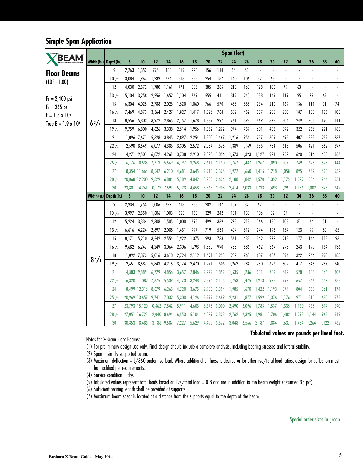### **Simple Span Application**

|                            |              |                         |              |                                      |              |                |                |                |                      |             | Span (feet)    |                |                      |                |                          |                          |                |                          |            |
|----------------------------|--------------|-------------------------|--------------|--------------------------------------|--------------|----------------|----------------|----------------|----------------------|-------------|----------------|----------------|----------------------|----------------|--------------------------|--------------------------|----------------|--------------------------|------------|
|                            |              | Width (in.) Depth (in.) | 8            | 10                                   | 12           | 14             | 16             | 18             | 20                   | 22          | 24             | 26             | 28                   | 30             | 32                       | 34                       | 36             | 38                       | 40         |
| <b>Floor Beams</b>         |              | 9                       | 2,263        | 1,352                                | 776          | 483            | 319            | 220            | 156                  | 114         | 84             | 63             | $\ddot{\phantom{a}}$ |                |                          | $\ddot{\phantom{a}}$     |                |                          |            |
| $(LDF = 1.00)$             |              | $10^{1/2}$              | 3,084        | 1,967                                | 1,239        | 774            | 513            | 355            | 254                  | 187         | 140            | 106            | 82                   | 63             | $\overline{\phantom{a}}$ | $\blacksquare$           | $\blacksquare$ | $\overline{\phantom{a}}$ |            |
|                            |              | 12                      | 4.030        | 2,572                                | 1,780        | 1,161          | 771            | 536            | 385                  | 285         | 215            | 165            | 128                  | 100            | 79                       | 63                       | ÷,             | $\ddot{\phantom{a}}$     |            |
| $F_b = 2,400$ psi          |              | $13\frac{1}{2}$         | 5,104        | 3,258                                | 2,256        | 1,652          | 1,104          | 769            | 555                  | 411         | 312            | 240            | 188                  | 149            | 119                      | 95                       | 77             | 62                       |            |
| $F_v = 265$ psi            |              | 15                      | 6,304        | 4,025                                | 2,788        | 2,023          | 1,520          | 1,060          | 766                  | 570         | 433            | 335            | 264                  | 210            | 169                      | 136                      | 111            | 91                       | 74         |
| $E = 1.8 \times 10^6$      |              | $16^{1/2}$              | 7,469        | 4,873                                | 3,364        | 2,427          | 1,827          | 1,417          | 1,026                | 764         | 582            | 452            | 357                  | 285            | 230                      | 187                      | 153            | 126                      | 105        |
| True $E = 1.9 \times 10^6$ | $6^{3}/4$    | 18                      | 8,556        | 5,802                                | 3,972        | 2,865          | 2,157          | 1,678          | 1,337                | 997         | 761            | 593            | 469                  | 375            | 304                      | 249                      | 205            | 170                      | 4          |
|                            |              | $19^{1/2}$              | 9,759        | 6,800                                | 4,626        | 3,338          | 2,514          | 1,956          | 1,562                | 1,272       | 974            | 759            | 601                  | 483            | 392                      | 322                      | 266            | 221                      | 185        |
|                            |              | 21                      | 11,096 7,671 |                                      | 5,328        | 3,845          | 2,897          | 2,254          | 1,800                | 1,467       | 1,216          | 954            | 757                  | 609            | 495                      | 407                      | 338            | 282                      | 237        |
|                            |              | $22^{1/2}$              | 12,590 8,549 |                                      | 6,077        | 4,386          | 3,305          | 2,572          | 2,054                | 1,675       | 1,389          | 1,169          | 936                  | 754            | 615                      | 506                      | 421            | 352                      | 297        |
|                            |              | 24                      | 14,271 9,501 |                                      | 6,872        | 4,961          | 3,738          | 2,910          | 2,325                | 1,896       | 1,573          | 1,323          | 1,127                | 921            | 752                      | 620                      | 516            | 433                      | 366        |
|                            |              | $25\frac{1}{2}$         |              | 16,176 10,535                        | 7,713        | 5,569          | 4,197          | 3,268          | 2,611                | 2,130       | 1,767          | 1,487          | 1,267                | 1,090          | 907                      | 749                      | 625            | 525                      | 444        |
|                            |              | 27                      |              | 18,354 11,664                        | 8,542        | 6,210          | 4,681          | 3,645          | 2,913 2,376          |             | 1,972          | 1,660          | 1,415                | 1,218          | 1,058                    | 895                      | 747            | 628                      | 532        |
|                            |              | $28^{1/2}$              |              | 20,868 12,900                        | 9,329        | 6,884          | 5,189          | 4,042          | 3,230                | 2,636       | 2,188          | 1,842          | 1,570                | 1,352          | 1,175                    | 1,029                    | 884            | 744                      | 631        |
|                            |              | 30                      |              | 23,801 14,261                        | 10,172 7,591 |                | 5,723          | 4,458          | 3,563                | 2,908       | 2,414          | 2,033          | 1,733                | 1,493          | 1,297                    | 1,136                    | 1,002          | 873                      | 742        |
|                            |              | Width (in.) Depth (in.) | 8            | 10                                   | 12           | 14             | 16             | 18             | 20                   | 22          | 24             | 26             | 28                   | 30             | 32                       | 34                       | 36             | 38                       | 40         |
|                            |              | 9                       | 2,934        | 1,753                                | 1,006        | 627            | 413            | 285            | 202                  | 147         | 109            | 82             | 62                   | $\blacksquare$ | ÷,                       | ÷,                       |                |                          |            |
|                            |              | $10^{1/2}$              | 3,997        | 2,550                                | 1,606        | 1,003          | 665            | 460            | 329                  | 242         | 181            | 138            | 106                  | 82             | 64                       | $\overline{\phantom{a}}$ |                |                          | ÷          |
|                            |              | 12                      | 5,224        | 3,334                                | 2,308        | 1,505          | 1,000          | 695            | 499                  | 369         | 278            | 213            | 166                  | 130            | 103                      | 81                       | 64             | 51                       | $\Box$     |
|                            |              | $13\frac{1}{2}$         | 6,616        | 4,224                                | 2,897        | 2,088          | 1,431          | 997            | 719                  | 533         | 404            | 312            | 244                  | 193            | 154                      | 123                      | 99             | 80                       | 65         |
|                            |              | 15                      | 8,171        | 5,210                                | 3,542 2,554  |                | 1,922          | 1,375          | 993                  | 738         | 561            | 435            | 342                  | 272            | 218                      | 177                      | 144            | 118                      | 96         |
|                            |              | $16^{1/2}$              | 9,682        | 6,247                                | 4,249        | 3,064          | 2,306          | 1,793          | 1,330                | 990         | 755            | 586            | 462                  | 369            | 298                      | 243                      | 199            | 164                      | 136        |
|                            | $8^{3}/_{4}$ | 18                      | 11,092 7,373 |                                      | 5,016        | 3,618          | 2,724          | 2,119          | 1,691                | 1,293       | 987            | 768            | 607                  | 487            | 394                      | 322                      | 266            | 220                      | 183        |
|                            |              | $19^{1/2}$              | 12,651 8,587 |                                      | 5,843        | 4,215          | 3,174          | 2,470          | 1,971                | 1,606       | 1,262          | 984            | 780                  | 626            | 509                      | 417                      | 345            | 287                      | 240        |
|                            |              | 21                      | 14,383 9,889 |                                      | 6,729        | 4,856          | 3,657          | 2,846          | 2,272                | 1,852       | 1,535          | 1,236          | 981                  | 789            | 642                      | 528                      | 438<br>546     | 366                      | 307        |
|                            |              | $22\frac{1}{2}$<br>24   |              | 16,320 11,082<br>18,499 12,316 8,679 | 7,675        | 5,539          | 4,173          | 3,248<br>3,675 | 2,594<br>2,935 2,394 | 2,115       | 1,753          | 1,475          | 1,213                | 978            | 797<br>974               | 657<br>804               | 669            | 457<br>561               | 385        |
|                            |              |                         |              | 20,969 13,657                        | 9,741        | 6,265<br>7,032 | 4,720<br>5,300 | 4,126          | 3,297                | 2,689       | 1,985<br>2,231 | 1,670<br>1,877 | 1,422<br>1,599       | 1,193<br>1,376 | 1,176                    | 971                      | 810            | 680                      | 474<br>575 |
|                            |              | $25\frac{1}{2}$<br>27   |              | 23,793 15,120 10,862 7,842           |              |                | 5,911          | 4,603          | 3,678 3,000          |             | 2,490          | 2,096          | 1,785                | 1,537          | 1,335                    | 1,160                    | 968            | 814                      | 690        |
|                            |              | $28\frac{1}{2}$         |              | 27,051 16,723 12,040 8,694           |              |                | 6,553          | 5,104          | 4,079                | 3,328       | 2,762          | 2,325          | 1,981                | 1,706          | 1,482                    | 1,298                    | 1.144          | 965                      | 819        |
|                            |              | 30                      |              | 30,853 18,486 13,186 9,587           |              |                | 7,227          | 5,629          |                      | 4,499 3,672 | 3,048          | 2,566          | 2,187                | 1,884          | 1,637                    | 1,434                    | 1,264          | 1,122                    | 962        |
|                            |              |                         |              |                                      |              |                |                |                |                      |             |                |                |                      |                |                          |                          |                |                          |            |

Notes for X-Beam Floor Beams:

(1) For preliminary design use only. Final design should include a complete analysis, including bearing stresses and lateral stability.

(2) Span = simply supported beam.

(3) Maximum deflection = L/360 under live load. Where additional stiffness is desired or for other live/total load ratios, design for deflection must be modified per requirements.

(4) Service condition  $=$  dry.

(5) Tabulated values represent total loads based on live/total load = 0.8 and are in addition to the beam weight (assumed 35 pcf).

(6) Sufficient bearing length shall be provided at supports.

(7) Maximum beam shear is located at a distance from the supports equal to the depth of the beam.

#### **Tabulated values are pounds per lineal foot.**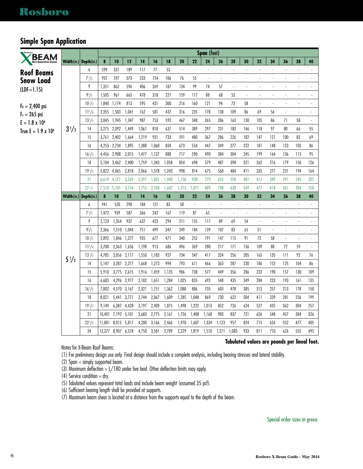#### **Simple Span Application**

| <b>BEAM</b>                   |                         |                          |                |                |                |                |                |                |                          |                                | Span (feet)                    |                          |                                    |                          |                          |                          |                                |                          |                                 |
|-------------------------------|-------------------------|--------------------------|----------------|----------------|----------------|----------------|----------------|----------------|--------------------------|--------------------------------|--------------------------------|--------------------------|------------------------------------|--------------------------|--------------------------|--------------------------|--------------------------------|--------------------------|---------------------------------|
| <b>Next-Generation Glulan</b> |                         | Width (in.)  Depth (in.) | 8              | 10             | 12             | 14             | 16             | 18             | 20                       | 22                             | 24                             | 26                       | 28                                 | 30                       | 32                       | 34                       | 36                             | 38                       | 40                              |
| Roof Beams                    |                         | 6                        | 599            | 331            | 189            | 117            | 77             | 53             | $\overline{\phantom{a}}$ | $\overline{\phantom{a}}$       | $\overline{\phantom{a}}$       | $\blacksquare$           | $\blacksquare$                     | $\overline{\phantom{a}}$ | $\overline{\phantom{a}}$ | $\overline{\phantom{a}}$ | $\overline{\phantom{a}}$       | $\overline{\phantom{a}}$ | $\ddot{\phantom{0}}$            |
| <b>Snow Load</b>              |                         | $7\frac{1}{2}$           | 937            | 597            | 373            | 233            | 154            | 106            | 76                       | 55                             | $\overline{\phantom{a}}$       | $\blacksquare$           | $\blacksquare$                     | ÷,                       |                          | ÷,                       | $\overline{\phantom{a}}$       | ÷,                       | $\overline{\phantom{a}}$        |
| $(IDF = 1.15)$                |                         | 9                        | 1,351          | 862            | 596            | 406            | 269            | 187            | 134                      | 99                             | 74                             | 57                       | $\overline{\phantom{a}}$           |                          |                          |                          |                                |                          |                                 |
|                               |                         | $9^{1}/2$                | 1,505          | 961            | 665            | 478            | 318            | 221            | 159                      | 117                            | 88                             | 68                       | 53                                 | $\blacksquare$           | $\overline{a}$           | $\overline{\phantom{a}}$ | $\overline{\phantom{a}}$       | ÷,                       | $\overline{a}$                  |
| $F_b = 2,400$ psi             |                         | $10^{1/2}$               | 1,840          | 1,174          | 813            | 595            | 431            | 300            | 216                      | 160                            | 121                            | 94                       | 73                                 | 58                       |                          | ÷,                       | l,                             |                          |                                 |
| $F_v = 265$ psi               |                         | $11^{7}/8$               | 2,355          | 1,503          | 1,041          | 762            | 581            | 437            | 316                      | 235                            | 178                            | 138                      | 109                                | 86                       | 69                       | 56                       | $\blacksquare$                 | $\overline{\phantom{a}}$ | $\overline{\phantom{a}}$        |
| $E = 1.8 \times 10^6$         |                         | $13^{1/2}$               | 3,045          | 1,945          | 1,347          | 987            | 753            | 592            | 467                      | 348                            | 265                            | 206                      | 163                                | 130                      | 105                      | 86                       | 71                             | 58                       | $\overline{\phantom{a}}$        |
| True $E = 1.9 \times 10^6$    | $3\frac{1}{2}$          | 14                       | 3,275          | 2,092          | 1,449          | 1,061          | 810            | 637            | 514                      | 389                            | 297                            | 231                      | 183                                | 146                      | 118                      | 97                       | 80                             | 66                       | 55                              |
|                               |                         | 15                       | 3,761          | 2,402          | 1,664          | 1,219          | 931            | 733            | 591                      | 480                            | 367                            | 286                      | 226                                | 182                      | 147                      | 121                      | 100                            | 83                       | 69                              |
|                               |                         | 16                       | 4,253          | 2,734          | 1,895          | 1,388          | 1,060          | 834            | 673                      | 554                            | 447                            | 349                      | 277                                | 222                      | 181                      | 148                      | 123                            | 103                      | 86                              |
|                               |                         | $16^{1/2}$               | 4,456          | 2,908          | 2,015          | 1,477          | 1,127          | 888            | 717                      | 590                            | 490                            | 384                      | 304                                | 245                      | 199                      | 164                      | 136                            | 113                      | 95                              |
|                               |                         | 18                       | 5.104          | 3,462          | 2,400          | 1,759          | 1,343          | 1,058          | 854                      | 698                            | 579                            | 487                      | 398                                | 321                      | 262                      | 216                      | 179                            | 150                      | 126                             |
|                               |                         | $19^{1/2}$<br>21         | 5,822<br>6,619 | 4,065<br>4,577 | 2,818          | 2,066          | 1,578          | 1,243<br>1,440 | 998                      | 814<br>938                     | 675<br>779                     | 568<br>655               | 484<br>558                         | 411<br>481               | 335<br>417               | 277<br>349               | 231<br>291                     | 194<br>245               | 164<br>207                      |
|                               |                         | $22^{1/2}$               | 7,510          | 5,101          | 3,269<br>3,754 | 2,397<br>2,753 | 1,831<br>2,103 | 1,642          | 1,150<br>1,313           | 1,071                          | 889                            | 748                      | 638                                | 549                      | 477                      | 418                      | 361                            | 304                      | 258                             |
|                               |                         |                          |                |                |                |                |                |                |                          |                                |                                |                          |                                    |                          |                          |                          |                                |                          |                                 |
|                               |                         |                          |                |                |                |                |                |                |                          |                                |                                |                          |                                    |                          |                          |                          |                                |                          |                                 |
|                               | Width (in.) Depth (in.) |                          | 8              | 10             | 12             | 14             | 16             | 18             | 20                       | 22                             | 24                             | 26                       | 28                                 | 30                       | 32<br>÷,                 | 34<br>$\blacksquare$     | 36                             | 38<br>÷,                 | 40<br>$\overline{\phantom{a}}$  |
|                               |                         | 6                        | 941            | 520<br>939     | 298<br>587     | 184            | 121<br>242     | 83<br>167      | 58<br>119                | $\overline{\phantom{a}}$<br>87 | $\overline{\phantom{a}}$<br>65 | $\blacksquare$<br>$\Box$ | $\overline{\phantom{a}}$<br>$\Box$ | $\blacksquare$<br>J,     |                          | ÷,                       | $\overline{\phantom{a}}$<br>l, |                          |                                 |
|                               |                         | $7\frac{1}{2}$<br>9      | 1,472<br>2,123 |                | 937            | 366<br>637     |                | 294            | 211                      | 155                            | 117                            | 89                       | 69                                 | 54                       | $\blacksquare$           | $\overline{\phantom{a}}$ | $\blacksquare$                 | l,                       | $\centering \label{eq:reduced}$ |
|                               |                         |                          | 2,366          | 1,354          | 1,044          | 751            | 423<br>499     | 347            | 249                      | 184                            | 139                            | 107                      | 83                                 | 65                       | 51                       | $\overline{\phantom{a}}$ | $\overline{a}$                 | $\overline{a}$           |                                 |
|                               |                         | $9^{1}/2$                | 2,892          | 1,510<br>1,846 | 1,277          | 935            | 677            | 471            | 340                      | 252                            | 191                            | 147                      | 115                                | 91                       | 72                       | 58                       | $\overline{\phantom{a}}$       | $\ddot{\phantom{0}}$     | ÷,                              |
|                               |                         | $10^{1/2}$<br>$11^{7}/8$ | 3,700          | 2,363 1,636    |                | 1,198          | 913            | 686            | 496                      | 369                            | 280                            | 217                      | 171                                | 136                      | 109                      | 88                       | 72                             | 59                       | $\overline{\phantom{a}}$        |
|                               |                         | $13^{1/2}$               | 4,785          | 3,056          | 2,117          | 1,550          | 1,183          | 927            | 734                      | 547                            | 417                            | 324                      | 256                                | 205                      | 165                      | 135                      | 111                            | 92                       | 76                              |
|                               | $5\frac{1}{2}$          | 14                       | 5,147          | 3,287          | 2,277          | 1,668          | 1,273          | 994            | 793                      | 611                            | 466                            | 363                      | 287                                | 230                      | 186                      | 152                      | 125                            | 104                      | 86                              |
|                               |                         | 15                       | 5,910          | 3,775 2,615    |                | 1,916          | 1,459          | 1,135          | 906                      | 738                            | 577                            | 449                      | 356                                | 286                      | 232                      | 190                      | 157                            | 130                      | 109                             |
|                               |                         | 16                       | 6,683          | 4,296 2,977    |                | 2,182          | 1,651          | 1,284          | 1,025                    | 835                            | 692                            | 548                      | 435                                | 349                      | 284                      | 233                      | 193                            | 161                      | 135                             |
|                               |                         | $16^{1/2}$               | 7,002          | 4,570 3,167    |                | 2,321          | 1,751          | 1,362          | 1,088                    | 886                            | 735                            | 603                      | 478                                | 385                      | 313                      | 257                      | 213                            | 178                      | 150                             |
|                               |                         | 18                       | 8,021          | 5,441          | 3,771          | 2,744          | 2,067          | 1,609          | 1,285                    | 1,048                          | 869                            | 730                      | 622                                | 504                      | 411                      | 339                      | 281                            | 236                      | 199                             |
|                               |                         | $19^{1/2}$               | 9,149          | 6,387          | 4,428          | 3,197          | 2,409          | 1,875          | 1,498                    | 1,222                          | 1,013                          | 852                      | 726                                | 624                      | 527                      | 435                      | 362                            | 304                      | 257                             |
|                               |                         | 21                       | 10,401         | 7,192 5,101    |                | 3,683          | 2,775          | 2,161          | 1,726                    | 1,408                          | 1,168                          | 983                      | 837                                | 721                      | 626                      | 548                      | 457                            | 384                      | 326                             |
|                               |                         | $22\frac{1}{2}$          | 11.801         | 8,015          | 5,817          | 4,200          | 3,166          | 2,466          | 1,970                    | 1,607                          | 1,334                          | 1,123                    | 957                                | 824                      | 715                      | 626                      | 552                            | 477                      | 405                             |

Notes for X-Beam Roof Beams:

#### **Tabulated values are pounds per lineal foot.**

(1) For preliminary design use only. Final design should include a complete analysis, including bearing stresses and lateral stability.

(2) Span = simply supported beam.

(3) Maximum deflection =  $L/180$  under live load. Other deflection limits may apply.

(4) Service condition  $=$  dry.

(5) Tabulated values represent total loads and include beam weight (assumed 35 pcf).

(6) Sufficient bearing length shall be provided at supports.

(7) Maximum beam shear is located at a distance from the supports equal to the depth of the beam.

Special order sizes in green.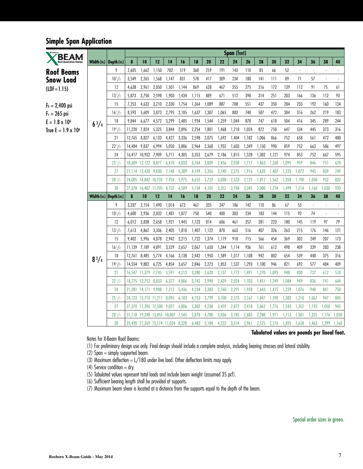### **Simple Span Application**

| <b>BEAM</b>                   |                         |                 |              |                      |                                   |       |       |       |       |       | Span (feet) |       |       |       |       |                          |                          |                          |        |
|-------------------------------|-------------------------|-----------------|--------------|----------------------|-----------------------------------|-------|-------|-------|-------|-------|-------------|-------|-------|-------|-------|--------------------------|--------------------------|--------------------------|--------|
| <b>Next-Generation Glulan</b> | Width (in.) Depth (in.) |                 | 8            | 10                   | 12                                | 14    | 16    | 18    | 20    | 22    | 24          | 26    | 28    | 30    | 32    | 34                       | 36                       | 38                       | 40     |
| Roof Beams                    |                         | 9               | 2,605        | 1,662                | 1,150                             | 782   | 519   | 360   | 259   | 191   | 143         | 110   | 85    | 66    | 52    | $\overline{\phantom{a}}$ |                          | ٠                        |        |
| Snow Load                     |                         | $10^{1/2}$      | 3,549        | 2,265                | 1,568                             | 1,147 | 831   | 578   | 417   | 309   | 234         | 180   | 141   | 111   | 89    | 71                       | 57                       | $\overline{\phantom{a}}$ |        |
| $(IDF = 1.15)$                |                         | 12              | 4,638        | 2,961                | 2,050                             | 1,501 | 1,144 | 869   | 628   | 467   | 355         | 275   | 216   | 172   | 139   | 112                      | 91                       | 75                       | $61\,$ |
|                               |                         | $13^{1/2}$      | 5,873        | 3,750                | 2,598                             | 1,903 | 1,434 | 1,115 | 889   | 671   | 512         | 398   | 314   | 251   | 203   | 166                      | 136                      | 112                      | 93     |
| $F_b = 2,400$ psi             |                         | 15              | 7,253        | 4,633                | 3,210                             | 2,330 | 1,754 | 1,364 | 1,089 | 887   | 708         | 551   | 437   | 350   | 284   | 233                      | 192                      | 160                      | 134    |
| $F_v = 265$ psi               |                         | $16^{1/2}$      | 8,593        | 5,609                | 3,873                             | 2,795 | 2,105 | 1,637 | 1,307 | 1,065 | 883         | 740   | 587   | 472   | 384   | 316                      | 262                      | 219                      | 183    |
| $E = 1.8 \times 10^6$         | $6^{3}/4$               | 18              | 9.844        | 6,677                | 4,572                             | 3,299 | 2,485 | 1,934 | 1,544 | 1,259 | 1,044       | 878   | 747   | 618   | 504   | 416                      | 345                      | 289                      | 244    |
| True $E = 1.9 \times 10^6$    |                         | $19^{1/2}$      | 11,228 7,824 |                      | 5,325                             | 3,844 | 2,896 | 2,254 | 1,801 | 1,468 | 1,218       | 1,024 | 872   | 750   | 647   | 534                      | 445                      | 373                      | 316    |
|                               |                         | 21              | 12,765 8,827 |                      | 6,133                             | 4,427 | 3,336 | 2,598 | 2,075 | 1,692 | 1,404       | 1,182 | 1,006 | 866   | 752   | 658                      | 561                      | 472                      | 400    |
|                               |                         | $22^{1/2}$      | 14,484 9,837 |                      | 6,994                             | 5,050 | 3,806 | 2,964 | 2,368 | 1,932 | 1,603       | 1,349 | 1,150 | 990   | 859   | 752                      | 663                      | 586                      | 497    |
|                               |                         | 24              |              | 16,417 10,932 7,909  |                                   | 5,711 | 4,305 | 3,353 | 2,679 | 2,186 | 1,815       | 1,528 | 1,302 | 1,121 | 974   | 853                      | 752                      | 667                      | 595    |
|                               |                         | $25\frac{1}{2}$ |              | 18,609 12,122 8,877  |                                   | 6,410 | 4,833 | 3,764 | 3,009 | 2,456 | 2,038       | 1,717 | 1,463 | 1,260 | 1,095 | 959                      | 846                      | 751                      | 670    |
|                               |                         | 27              |              | 21,114 13,420 9,830  |                                   | 7,148 | 5,389 | 4,199 | 3,356 | 2,740 | 2,275       | 1,916 | 1,633 | 1,407 | 1,223 | 1,072                    | 945                      | 839                      | 749    |
|                               |                         | $28^{1/2}$      |              | 24,005 14,842 10,735 |                                   | 7,924 | 5,975 | 4,655 | 3,722 | 3,038 | 2,523       | 2,125 | 1,812 | 1,562 | 1,358 | 1,190                    | 1,050                    | 932                      | 832    |
|                               |                         | 30              |              | 27,378 16,407 11,705 |                                   | 8,737 | 6,589 | 5,134 | 4,105 | 3,352 | 2,784       | 2,345 | 2,000 | 1,724 | 1,499 | 1,314                    | 1,160                    | 1,030                    | 920    |
|                               | Width (in.) Depth (in.) |                 | 8            | 10                   | 12                                | 14    | 16    | 18    | 20    | 22    | 24          | 26    | 28    | 30    | 32    | 34                       | 36                       | 38                       | 40     |
|                               |                         | 9               | 3,337        | 2,154                | 1,490                             | 1,014 | 673   | 467   | 335   | 247   | 186         | 142   | 110   | 86    | 67    | 53                       | $\overline{\phantom{a}}$ | $\overline{\phantom{a}}$ |        |
|                               |                         | $10^{1/2}$      | 4,600        | 2,936                | 2,032                             | 1,487 | 1,077 | 750   | 540   | 400   | 303         | 234   | 183   | 144   | 115   | 92                       | 74                       | $\overline{\phantom{a}}$ |        |
|                               |                         | 12              | 6,012        | 3,838                | 2,658                             | 1,921 | 1,445 | 1,123 | 814   | 606   | 461         | 357   | 281   | 223   | 180   | 145                      | 119                      | 97                       | 79     |
|                               |                         | $13^{1/2}$      | 7,613        | 4,862                | 3,336                             | 2,405 | 1,810 | 1,407 | 1,122 | 870   | 663         | 516   | 407   | 326   | 263   | 215                      | 176                      | 146                      | 121    |
|                               |                         | 15              | 9,402        | 5,996                | 4,078                             | 2,942 | 2,215 | 1,722 | 1,374 | 1,119 | 918         | 715   | 566   | 454   | 369   | 302                      | 249                      | 207                      | 173    |
|                               |                         | $16^{1/2}$      | 11,139 7,189 |                      | 4,891                             | 3,529 | 2,657 | 2,067 | 1,650 | 1,344 | 1,114       | 936   | 761   | 612   | 498   | 409                      | 339                      | 283                      | 238    |
|                               | $8^{3}/_{4}$            | 18              | 12,761       | 8,485                | 5,774                             | 4,166 | 3,138 | 2,442 | 1,950 | 1,589 | 1,317       | 1,108 | 942   | 802   | 654   | 539                      | 448                      | 375                      | 316    |
|                               |                         | $19^{1/2}$      | 14,554 9,882 |                      | 6,725                             | 4,854 | 3,657 | 2,846 | 2,273 | 1,853 | 1,537       | 1,293 | 1,100 | 946   | 821   | 692                      | 577                      | 484                      | 409    |
|                               |                         | 21              |              | 16,547 11,379        | 7,745                             | 5,591 | 4,213 | 3,280 | 2,620 | 2,137 | 1,772       | 1,491 | 1,270 | 1,093 | 948   | 830                      | 727                      | 612                      | 518    |
|                               |                         | $22^{1/2}$      |              | 18,775 12,752 8,833  |                                   | 6,377 | 4,806 | 3,742 | 2,990 | 2,439 | 2,024       | 1,703 | 1,451 | 1,249 | 1,084 | 949                      | 836                      | 741                      | 644    |
|                               |                         | 24              |              | 21,281 14,171 9,988  |                                   | 7,212 | 5,436 | 4,234 | 3,383 | 2,760 | 2,291       | 1,928 | 1,643 | 1,415 | 1,229 | 1,076                    | 948                      | 841                      | 750    |
|                               |                         | $25\frac{1}{2}$ |              | 24,123 15,713 11,211 |                                   | 8,095 | 6,103 | 4,753 | 3,799 | 3,100 | 2,573       | 2,167 | 1,847 | 1,590 | 1,382 | 1,210                    | 1,067                    | 947                      | 845    |
|                               |                         | 27              |              |                      | 27,370 17,396 12,500 9,027        |       | 6,806 | 5,302 | 4,238 | 3,459 | 2,872       | 2,418 | 2,062 | 1,776 | 1,543 | 1,352                    | 1,193                    | 1,058                    | 945    |
|                               |                         | $28^{1/2}$      |              |                      | 31,118 19,240 13,855 10,007       |       | 7,545 | 5,878 | 4,700 | 3,836 | 3,185       | 2,683 | 2,288 | 1,971 | 1,713 | 1,501                    | 1,325                    | 1,176                    | 1,050  |
|                               |                         | 30              |              |                      | 35,490 21,269 15,174 11,034 8,320 |       |       | 6,483 | 5,184 | 4,232 | 3,514       | 2,961 | 2,525 | 2,176 | 1,892 | 1,658                    | 1,463                    | 1,299                    | 1,160  |

Notes for X-Beam Roof Beams:

(1) For preliminary design use only. Final design should include a complete analysis, including bearing stresses and lateral stability.

(2) Span = simply supported beam.

(3) Maximum deflection  $= L/180$  under live load. Other deflection limits may apply.

(4) Service condition = dry.

(5) Tabulated values represent total loads and include beam weight (assumed 35 pcf).

(6) Sufficient bearing length shall be provided at supports.

(7) Maximum beam shear is located at a distance from the supports equal to the depth of the beam.

#### **Tabulated values are pounds per lineal foot.**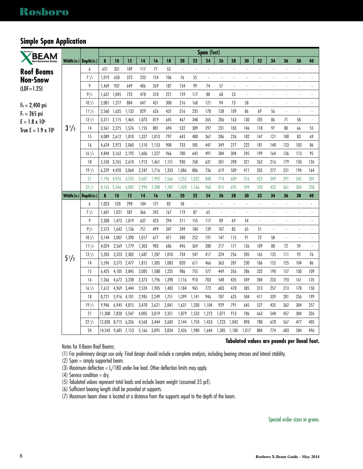### **Simple Span Application**

| <b>BEAM</b>                   |                                                |                  |        |                                   |       |                |                |                |                |                          | Span (feet)              |                |                          |                          |                          |                          |                          |                          |                          |  |
|-------------------------------|------------------------------------------------|------------------|--------|-----------------------------------|-------|----------------|----------------|----------------|----------------|--------------------------|--------------------------|----------------|--------------------------|--------------------------|--------------------------|--------------------------|--------------------------|--------------------------|--------------------------|--|
| <b>Next-Generation Glular</b> | Width (in.) Depth (in.)                        |                  | 8      | 10                                | 12    | 14             | 16             | 18             | 20             | 22                       | 24                       | 26             | 28                       | 30                       | 32                       | 34                       | 36                       | 38                       | 40                       |  |
| <b>Roof Beams</b>             |                                                | 6                | 651    | 331                               | 189   | 117            | 77             | 53             |                |                          |                          |                |                          |                          |                          |                          |                          |                          |                          |  |
| Non-Snow                      |                                                | $7^{1/2}$        | 1,019  | 650                               | 373   | 233            | 154            | 106            | 76             | 55                       | $\overline{\phantom{a}}$ | $\blacksquare$ | $\blacksquare$           |                          |                          | $\overline{\phantom{a}}$ | $\overline{\phantom{a}}$ |                          | $\overline{\phantom{a}}$ |  |
|                               |                                                | 9                | 1,469  | 937                               | 649   | 406            | 269            | 187            | 134            | 99                       | 74                       | 57             | $\blacksquare$           | ÷.                       |                          | $\overline{a}$           | $\overline{a}$           |                          |                          |  |
|                               |                                                | $9^{1}/2$        | 1,637  | 1,045                             | 723   | 478            | 318            | 221            | 159            | 117                      | 88                       | 68             | 53                       | $\overline{\phantom{a}}$ |                          |                          | $\blacksquare$           |                          | $\overline{\phantom{a}}$ |  |
|                               |                                                | $10^{1/2}$       | 2,001  | 1,277                             | 884   | 647            | 431            | 300            | 216            | 160                      | 121                      | 94             | 73                       | 58                       | $\ddot{\phantom{a}}$     | ÷,                       | $\overline{a}$           |                          | ÷,                       |  |
|                               |                                                | $11^{7}/8$       | 2,560  | 1,635                             | 1,132 | 829            | 626            | 437            | 316            | 235                      | 178                      | 138            | 109                      | 86                       | 69                       | 56                       | l,                       |                          |                          |  |
|                               |                                                | $13^{1/2}$       | 3,311  | 2,115                             | 1,465 | 1,073          | 819            | 645            | 467            | 348                      | 265                      | 206            | 163                      | 130                      | 105                      | 86                       | 71                       | 58                       | $\blacksquare$           |  |
| True $E = 1.9 \times 10^6$    | $3\frac{1}{2}$                                 | 14               | 3,561  | 2,275                             | 1,576 | 1,155          | 881            | 694            | 522            | 389                      | 297                      | 231            | 183                      | 146                      | 118                      | 97                       | 80                       | 66                       | 55                       |  |
|                               |                                                | 15               | 4,089  | 2,612                             | 1,810 | 1,327          | 1,013          | 797            | 643            | 480                      | 367                      | 286            | 226                      | 182                      | 147                      | 121                      | 100                      | 83                       | 69                       |  |
|                               |                                                | 16               | 4,624  | 2,973                             | 2,060 | 1,510          | 1,153          | 908            | 733            | 585                      | 447                      | 349            | 277                      | 222                      | 181                      | 148                      | 123                      | 103                      | 86                       |  |
|                               |                                                | $16^{1/2}$       | 4.844  | 3,162                             | 2,192 | 1,606          | 1,227          | 966            | 780            | 642                      | 491                      | 384            | 304                      | 245                      | 199                      | 164                      | 136                      | 113                      | 95                       |  |
|                               |                                                | 18               | 5.550  | 3,765                             | 2,610 | 1,913          | 1,461          | 1.151          | 930            | 760                      | 631                      | 501            | 398                      | 321                      | 262                      | 216                      | 179                      | 150                      | 126                      |  |
|                               |                                                | $19^{1}/2$       | 6,329  | 4,420                             | 3,064 | 2,247          | 1,716          | 1,353          | 1,086          | 886                      | 736                      | 619            | 509                      | 411                      | 335                      | 277                      | 231                      | 194                      | 164                      |  |
|                               |                                                | 21               | 7,196  | 4,976                             | 3,555 | 2,607          | 1,992          | 1,566          | 1,252          | 1,022                    | 848                      | 714            | 609                      | 516                      | 422                      | 349                      | 291                      | 245                      | 207                      |  |
|                               |                                                | $22^{1/2}$       | 8,165  | 5,546                             | 4,082 | 2,994          | 2,288          | 1,787          | 1,428          | 1,166                    | 968                      | 815            | 695                      | 599                      | 520                      | 432                      | 361                      | 304                      | 258                      |  |
|                               |                                                |                  |        |                                   |       |                |                |                |                |                          |                          |                |                          |                          |                          |                          |                          |                          |                          |  |
|                               | $\textsf{Width}\left(\textsf{in.}\right)\big $ | Depth(in.)       | 8      | 10                                | 12    | 14             | 16             | 18             | 20             | 22                       | 24                       | 26             | 28                       | 30                       | 32                       | 34                       | 36                       | 38                       | 40                       |  |
|                               |                                                | 6                | 1.023  | 520                               | 298   | 184            | 121            | 83             | 58             | $\overline{\phantom{a}}$ | $\Box$                   | l,             | $\blacksquare$           | ÷                        |                          | $\blacksquare$           | $\blacksquare$           | $\overline{\phantom{a}}$ | $\overline{\phantom{a}}$ |  |
|                               |                                                | $7\frac{1}{2}$   | 1,601  | 1,021                             | 587   | 366            | 242            | 167            | 119            | 87                       | 65                       | ÷.             | $\overline{\phantom{a}}$ | $\overline{\phantom{a}}$ |                          | ÷,                       | $\overline{a}$           |                          |                          |  |
|                               |                                                | 9                | 2,308  | 1,473                             | 1,019 | 637            | 423            | 294            | 211            | 155                      | 117                      | 89             | 69                       | 54                       | $\overline{\phantom{a}}$ | l,                       | l,                       |                          | $\overline{\phantom{a}}$ |  |
|                               |                                                | $9^{1}/2$        | 2,573  | 1,642                             | 1,136 | 751            | 499            | 347            | 249            | 184                      | 139                      | 107            | 83                       | 65                       | 51                       | $\blacksquare$           | $\overline{\phantom{a}}$ |                          | $\overline{\phantom{a}}$ |  |
|                               |                                                | $10^{1/2}$       | 3,144  | 2,007                             | 1,390 | 1,017          | 677            | 471            | 340            | 252                      | 191                      | 147            | 115                      | 91                       | 72                       | 58                       | $\overline{\phantom{a}}$ |                          |                          |  |
|                               |                                                | $11^{7}/8$       | 4,024  | 2,569                             | 1,779 | 1,303          | 983            | 686            | 496            | 369                      | 280                      | 217            | 171                      | 136                      | 109                      | 88                       | 72                       | 59                       | ÷,                       |  |
|                               | $5\frac{1}{2}$                                 | $13^{1/2}$       | 5,203  | 3,323 2,302                       |       | 1,687          | 1,287          | 1,010          | 734            | 547                      | 417                      | 324            | 256                      | 205                      | 165                      | 135                      | 111                      | 92                       | 76                       |  |
|                               |                                                | 14               | 5,596  | 3,575 2,477                       |       | 1,815          | 1,385          | 1,083          | 820            | 611                      | 466                      | 363            | 287                      | 230                      | 186                      | 152                      | 125                      | 104                      | 86                       |  |
|                               |                                                | 15               | 6,425  | 4,105 2,845                       |       | 2,085          | 1,588          | 1,235          | 986            | 755                      | 577                      | 449            | 356                      | 286                      | 232                      | 190                      | 157                      | 130                      | 109                      |  |
|                               |                                                | 16               | 7,266  | 4,672 3,238                       |       | 2,373          | 1,796          | 1,398          | 1,116          | 910                      | 703                      | 548            | 435                      | 349                      | 284                      | 233                      | 193                      | 161                      | 135                      |  |
|                               |                                                | $16^{1/2}$       | 7,612  | 4,969 3,444                       |       | 2,524          | 1,905          | 1,483          | 1,184          | 965                      | 772                      | 603            | 478                      | 385                      | 313                      | 257                      | 213                      | 178                      | 150                      |  |
|                               |                                                | 18               | 8,721  | 5,916 4,101                       |       | 2,985          | 2,249          | 1,751          | 1,399          | 1,141                    | 946                      | 787            | 625                      | 504                      | 411                      | 339                      | 281                      | 236                      | 199                      |  |
|                               |                                                | $19^{1/2}$       | 9,946  | 6,945 4,815                       |       | 3,478          | 2,621          | 2,041          | 1,631          | 1,330                    | 1,104                    | 929            | 791                      | 645                      | 527                      | 435                      | 362                      | 304                      | 257                      |  |
|                               |                                                | 21               | 11.308 | 7,820 5,547                       |       | 4,005          | 3,019          | 2,351          | 1,879          | 1,533                    | 1,272                    | 1,071          | 913                      | 786                      | 663                      | 548                      | 457                      | 384                      | 326                      |  |
|                               |                                                | $22^{1/2}$<br>24 | 12.830 | 8,715 6,326<br>14,543 9,685 7,153 |       | 4,568<br>5,166 | 3,444<br>3,895 | 2,683<br>3,034 | 2,144<br>2,426 | 1,750<br>1,980           | 1,453<br>1,644           | 1,223<br>1,385 | 1,043<br>1,180           | 898<br>1,017             | 780<br>884               | 678<br>774               | 567<br>683               | 477<br>584               | 405<br>496               |  |

Notes for X-Beam Roof Beams:

#### **Tabulated values are pounds per lineal foot.**

(1) For preliminary design use only. Final design should include a complete analysis, including bearing stresses and lateral stability.

 $(2)$  Span = simply supported beam.

(3) Maximum deflection =  $L/180$  under live load. Other deflection limits may apply.

(4) Service condition = dry.

(5) Tabulated values represent total loads and include beam weight (assumed 35 pcf).

(6) Sufficient bearing length shall be provided at supports.

(7) Maximum beam shear is located at a distance from the supports equal to the depth of the beam.

Special order sizes in green.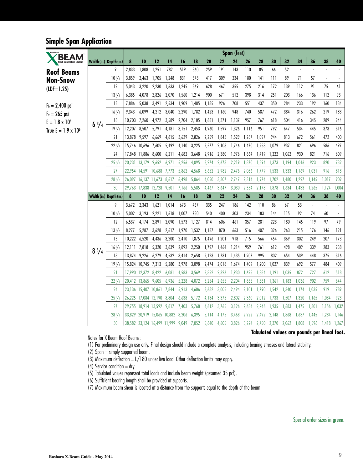### **Simple Span Application**

|                               |              |                           |              |                                   |       |       |             |       |       |       | Span (feet) |       |       |       |       |         |                |       |        |
|-------------------------------|--------------|---------------------------|--------------|-----------------------------------|-------|-------|-------------|-------|-------|-------|-------------|-------|-------|-------|-------|---------|----------------|-------|--------|
| <b>Next-Generation Glulam</b> |              | Width (in.)   Depth (in.) | 8            | 10                                | 12    | 14    | 16          | 18    | 20    | 22    | 24          | 26    | 28    | 30    | 32    | 34      | 36             | 38    | 40     |
| <b>Roof Beams</b>             |              | 9                         | 2,833        | 1,808                             | 1,251 | 782   | 519         | 360   | 259   | 191   | 143         | 110   | 85    | 66    | 52    | $\cdot$ |                |       | ä,     |
| Non-Snow                      |              | $10^{1/2}$                | 3,859        | 2,463                             | 1,705 | 1,248 | 831         | 578   | 417   | 309   | 234         | 180   | 141   | 111   | 89    | 71      | 57             | ä,    | $\Box$ |
| $(LDF = 1.25)$                |              | 12                        | 5.043        | 3,220                             | 2,230 | 1,633 | 1,245       | 869   | 628   | 467   | 355         | 275   | 216   | 172   | 139   | 112     | 91             | 75    | 61     |
|                               |              | $13^{1/2}$                | 6,385        | 4,078                             | 2,826 | 2,070 | 1,560       | 1,214 | 900   | 671   | 512         | 398   | 314   | 251   | 203   | 166     | 136            | 112   | 93     |
| $F_b = 2,400$ psi             |              | 15                        | 7,886        | 5,038                             | 3,491 | 2,534 | 1,909       | 1,485 | 1,185 | 926   | 708         | 551   | 437   | 350   | 284   | 233     | 192            | 160   | 134    |
| $F_v = 265$ psi               |              | $16^{1/2}$                | 9,343        | 6,099                             | 4,212 | 3,040 | 2,290       | 1,782 | 1,423 | 1,160 | 948         | 740   | 587   | 472   | 384   | 316     | 262            | 219   | 183    |
| $E = 1.8 \times 10^6$         | $6^{3}/4$    | 18                        | 10,703       | 7,260                             | 4,972 | 3,589 | 2,704       | 2,105 | 1,681 | 1,371 | 1,137       | 957   | 767   | 618   | 504   | 416     | 345            | 289   | 244    |
| True $E = 1.9 \times 10^6$    |              | $19^{1}/2$                | 12,207       | 8,507                             | 5,791 | 4,181 | 3,151       | 2,453 | 1,960 | 1,599 | 1,326       | 1,116 | 951   | 792   | 647   | 534     | 445            | 373   | 316    |
|                               |              | 21                        | 13.878 9.597 |                                   | 6,669 | 4,815 | 3,629       | 2,826 | 2,259 | 1,843 | 1,529       | 1,287 | 1.097 | 944   | 813   | 672     | 561            | 472   | 400    |
|                               |              | $22^{1/2}$                |              | 15,746 10,696 7,605               |       | 5,492 | 4,140 3,225 |       | 2,577 | 2,103 | 1,746       | 1,470 | 1,253 | 1.079 | 937   | 821     | 696            | 586   | 497    |
|                               |              | 24                        |              | 17,848 11,886 8,600               |       | 6,211 | 4,682       | 3,648 | 2,916 | 2,380 | 1,976       | 1,664 | 1,419 | 1,222 | 1,062 | 930     | 821            | 716   | 609    |
|                               |              | $25^{1}/2$                |              | 20,231 13,179 9,652               |       | 6,971 | 5,256       | 4,095 | 3,274 | 2,673 | 2,219       | 1,870 | 1,594 | 1,373 | 1,194 | 1,046   | 923            | 820   | 732    |
|                               |              | 27                        |              | 22,954 14,591 10,688 7,773        |       |       | 5,862       | 4,568 | 3,652 | 2,982 | 2,476       | 2,086 | 1,779 | 1,533 | 1,333 | 1,169   | 1,031          | 916   | 818    |
|                               |              | $28^{1/2}$                |              | 26,097 16,137 11,673 8,617        |       |       | 6,498       | 5,064 | 4,050 | 3,307 | 2,747       | 2,314 | 1,974 | 1,702 | 1,480 | 1,297   | 1,145          | 1,017 | 909    |
|                               |              | 30                        |              | 29,763 17,838 12,728              |       | 9,501 | 7,166       | 5,585 | 4,467 | 3,647 | 3,030       | 2,554 | 2.178 | 1,878 | 1,634 | 1.433   | 1.265          | 1,124 | 1,004  |
|                               |              | Width (in.) Depth (in.)   | 8            | 10                                | 12    | 14    | 16          | 18    | 20    | 22    | 24          | 26    | 28    | 30    | 32    | 34      | 36             | 38    | 40     |
|                               |              | 9                         | 3,672        | 2,343                             | 1,621 | 1,014 | 673         | 467   | 335   | 247   | 186         | 142   | 110   | 86    | 67    | 53      | $\blacksquare$ |       |        |
|                               |              | $10^{1/2}$                | 5,002        | 3,193                             | 2,221 | 1,618 | 1,007       | 750   | 540   | 400   | 303         | 234   | 183   | 144   | 115   | 92      | 74             | 60    |        |
|                               |              | 12                        | 6,537        | 4,174                             | 2,891 | 2,090 | 1,573       | 1,127 | 814   | 606   | 461         | 357   | 281   | 223   | 180   | 145     | 119            | 97    | 79     |
|                               |              | $13^{1}/2$                | 8,277        | 5,287                             | 3,628 | 2,617 | 1,970       | 1,532 | 1,167 | 870   | 663         | 516   | 407   | 326   | 263   | 215     | 176            | 146   | 121    |
|                               |              | 15                        | 10,222 6,520 |                                   | 4,436 | 3,200 | 2,410       | 1,875 | 1,496 | 1,201 | 918         | 715   | 566   | 454   | 369   | 302     | 249            | 207   | 173    |
|                               | $8^{3}/_{4}$ | $16^{1/2}$                | 12.111       | 7,818                             | 5,320 | 3,839 | 2,892       | 2,250 | 1,797 | 1,464 | 1,214       | 959   | 761   | 612   | 498   | 409     | 339            | 283   | 238    |
|                               |              | 18                        | 13,874 9,226 |                                   | 6,279 | 4,532 | 3,414       | 2,658 | 2,123 | 1,731 | 1,435       | 1,207 | 995   | 802   | 654   | 539     | 448            | 375   | 316    |
|                               |              | $19^{1}/2$                |              | 15,824 10,745 7,313               |       | 5,280 | 3,978       | 3,098 | 2,474 | 2,018 | 1,674       | 1,409 | 1,200 | 1.027 | 839   | 692     | 577            | 484   | 409    |
|                               |              | 21                        |              | 17,990 12,372 8,422               |       | 6,081 | 4,583       | 3,569 | 2,852 | 2,326 | 1,930       | 1,625 | 1,384 | 1,191 | 1,035 | 872     | 727            | 612   | 518    |
|                               |              | $22^{1/2}$                |              | 20,412 13,865 9,605               |       | 6,936 | 5,228       | 4,072 | 3,254 | 2,655 | 2,204       | 1,855 | 1,581 | 1,361 | 1,183 | 1,036   | 902            | 759   | 644    |
|                               |              | 24                        |              | 23,136 15,407 10,861              |       | 7,844 | 5,913       | 4,606 | 3,682 | 3,005 | 2,494       | 2,101 | 1,790 | 1,542 | 1,340 | 1,174   | 1,035          | 919   | 789    |
|                               |              | $25^{1}/2$                |              | 26,225 17,084 12,190 8,804        |       |       | 6,638       | 5,172 | 4,134 | 3,375 | 2,802       | 2,360 | 2,012 | 1,733 | 1,507 | 1,320   | 1,165          | 1,034 | 923    |
|                               |              | 27                        |              | 29,755 18,914 13,592 9,817        |       |       | 7,403       | 5,768 | 4,612 | 3,765 | 3,126       | 2,634 | 2,246 | 1,935 | 1,683 | 1,475   | 1,301          | 1,156 | 1,032  |
|                               |              | $28^{1/2}$                |              | 33,829 20,919 15,065 10,882       |       |       | 8,206       | 6,395 | 5,114 | 4,175 | 3,468       | 2,922 | 2,492 | 2,148 | 1,868 | 1,637   | 1,445          | 1,284 | 1,146  |
|                               |              | 30                        |              | 38,582 23,124 16,499 11,999 9,049 |       |       |             | 7,052 | 5,640 | 4,605 | 3,826 3,224 |       | 2,750 | 2,370 | 2,062 | 1,808   | 1,596          | 1,418 | 1,267  |

Notes for X-Beam Roof Beams:

(1) For preliminary design use only. Final design should include a complete analysis, including bearing stresses and lateral stability.

(2) Span = simply supported beam.

(3) Maximum deflection  $= L/180$  under live load. Other deflection limits may apply.

(4) Service condition  $=$  dry.

(5) Tabulated values represent total loads and include beam weight (assumed 35 pcf).

(6) Sufficient bearing length shall be provided at supports.

(7) Maximum beam shear is located at a distance from the supports equal to the depth of the beam.

#### **Tabulated values are pounds per lineal foot.**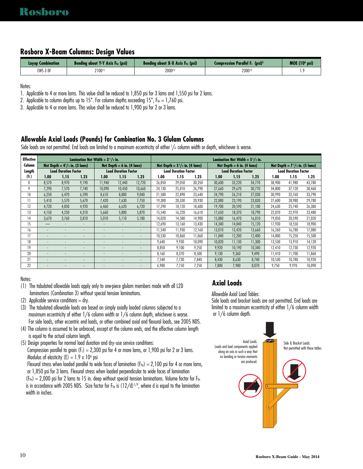#### **Rosboro X-Beam Columns: Design Values**

| <b>Lavup Combination</b> | Bending about Y-Y Axis F <sub>by</sub> (psi) | Bending about $X-X$ Axis $F_{bx}$ (psi) | <b>Compression Parallel F. (psi)</b> <sup>3</sup> | MOE(10 <sup>6</sup> psi) |
|--------------------------|----------------------------------------------|-----------------------------------------|---------------------------------------------------|--------------------------|
| EWS 3 DF                 | 2100(1)                                      | 2000(2)                                 | 2300                                              |                          |

Notes:

1. Applicable to 4 or more lams. This value shall be reduced to 1,850 psi for 3 lams and 1,550 psi for 2 lams.

2. Applicable to column depths up to 15". For column depths exceeding 15",  $F_{bx} = 1,760$  psi.

3. Applicable to 4 or more lams. This value shall be reduced to 1,900 psi for 2 or 3 lams.

#### **Allowable Axial Loads (Pounds) for Combination No. 3 Glulam Columns**

Side loads are not permitted. End loads are limited to a maximum eccentricity of either <sup>1</sup> /6 column width or depth, whichever is worse.

| <b>Effective</b>  |       |                                    | Lamination Net Width = $3^{1}/2$ in. |        |                              |        |        |                                         |        |        | Lamination Net Width = $5^{1}/2$ in. |        |        |                                    |        |
|-------------------|-------|------------------------------------|--------------------------------------|--------|------------------------------|--------|--------|-----------------------------------------|--------|--------|--------------------------------------|--------|--------|------------------------------------|--------|
| Column            |       | Net Depth = $4^{1}/2$ in. (3 lams) |                                      |        | Net Depth $= 6$ in. (4 lams) |        |        | Net Depth = $5\frac{1}{2}$ in. (4 lams) |        |        | Net Depth = $6$ in. (4 lams)         |        |        | Net Depth = $7^{1}/2$ in. (5 lams) |        |
| Length            |       | <b>Load Duration Factor</b>        |                                      |        | <b>Load Duration Factor</b>  |        |        | <b>Load Duration Factor</b>             |        |        | <b>Load Duration Factor</b>          |        |        | <b>Load Duration Factor</b>        |        |
| (f <sub>1</sub> ) | 1.00  | 1.15                               | 1.25                                 | 1.00   | 1.15                         | 1.25   | 1.00   | 1.15                                    | 1.25   | 1.00   | 1.15                                 | 1.25   | 1.00   | 1.15                               | 1.25   |
| 8                 | 8,570 | 8.970                              | 9.190                                | 11,940 | 12,440                       | 12.720 | 26,850 | 29.050                                  | 30.350 | 30,600 | 33,220                               | 34,770 | 38,900 | 41,980                             | 43,780 |
| 9                 | 7.290 | 7.570                              | 7.740                                | 10,090 | 10.450                       | 10.660 | 24,130 | 25.810                                  | 26.790 | 27,660 | 29.670                               | 30,770 | 34,800 | 37.120                             | 38,460 |
| 10                | 6,250 | 6,470                              | 6,590                                | 8,610  | 8,880                        | 9,040  | 21,580 | 22,890                                  | 23,640 | 24,790 | 26,210                               | 27,030 | 30,990 | 32,760                             | 33,790 |
| 11                | 5,410 | 5,570                              | 5.670                                | 7,420  | 7,630                        | 7,750  | 19,300 | 20,330                                  | 20.930 | 22,080 | 23,190                               | 23,830 | 27,600 | 28,980                             | 29,780 |
| 12                | 4,720 | 4,850                              | 4,920                                | 6,460  | 6,620                        | 6.720  | 17,290 | 18.120                                  | 18.600 | 19,700 | 20,590                               | 21,100 | 24,630 | 25,740                             | 26,380 |
| 13                | 4,150 | 4,250                              | 4.310                                | 5,660  | 5,800                        | 5.870  | 15,540 | 16,220                                  | 16,610 | 17,650 | 18,370                               | 18,790 | 22,070 | 22,970                             | 23,480 |
| 14                | 3,670 | 3.760                              | 3.810                                | 5,010  | 5,110                        | 5,180  | 14,020 | 14,580                                  | 14.900 | 15,880 | 16,470                               | 16,810 | 19,850 | 20,590                             | 21,020 |
| 15                | —     | ٠                                  |                                      |        | ۰                            |        | 12,690 | 13,160                                  | 13.430 | 14,340 | 14.840                               | 15,120 | 17,930 | 18,550                             | 18,900 |
| 16                |       |                                    |                                      |        | ۰                            |        | 1,540  | 11.930                                  | 12.160 | 13.010 | 13.420                               | 13.660 | 16,260 | 16.780                             | 17,080 |
| 17                |       |                                    |                                      |        |                              |        | 10,530 | 10,860                                  | 11,060 | 11.840 | 12,200                               | 12,400 | 14,800 | 15,250                             | 15,500 |
| 18                |       |                                    |                                      |        | ۰                            | ٠      | 9,640  | 9.930                                   | 10.090 | 10,820 | 11,130                               | 11,300 | 13,530 | 13,910                             | 14,120 |
| 19                |       |                                    |                                      |        |                              |        | 8,850  | 9,100                                   | 9,250  | 9,920  | 10,190                               | 10,340 | 12,410 | 12,730                             | 12,920 |
| 20                |       |                                    | $\sim$                               |        |                              |        | 8,160  | 8,370                                   | 8,500  | 9.130  | 9,360                                | 9,490  | 11,410 | 11,700                             | 11,860 |
| 21                |       |                                    |                                      |        |                              |        | 7,540  | 7.730                                   | 7,840  | 8.430  | 8.630                                | 8,740  | 10,530 | 10.780                             | 10,920 |
| 22                |       |                                    |                                      |        |                              |        | 6,980  | 7,150                                   | 7.250  | 7.800  | 7.980                                | 8,070  | 9,750  | 9.970                              | 10,090 |

Notes:

(2) Applicable service conditions = dry.

(3) The tabulated allowable loads are based on simply axially loaded columns subjected to a maximum eccentricity of either 1/6 column width or 1/6 column depth, whichever is worse. For side loads, other eccentric end loads, or other combined axial and flexural loads, see 2005 NDS.

(4) The column is assumed to be unbraced, except at the column ends, and the effective column length is equal to the actual column length.

(5) Design properties for normal load duration and dry-use service conditions:

Compression parallel to grain ( $F_c$ ) = 2,300 psi for 4 or more lams, or 1,900 psi for 2 or 3 lams. Modulus of elasticity  $(E) = 1.9 \times 10^6$  psi

Flexural stress when loaded parallel to wide faces of lamination  $(F_{by}) = 2,100$  psi for 4 or more lams, or 1,850 psi for 3 lams. Flexural stress when loaded perpendicular to wide faces of lamination  $(F_{bx}) = 2,000$  psi for 2 lams to 15 in. deep without special tension laminations. Volume factor for  $F_{bx}$ is in accordance with 2005 NDS. Size factor for F $_{\rm{by}}$  is (12/d)½, where d is equal to the lamination width in inches.

### **Axial Loads**

Allowable Axial Load Tables:

Side loads and bracket loads are not permitted. End loads are limited to a maximum eccentricity of either 1/6 column width or 1/6 column depth.



<sup>(1)</sup> The tabulated allowable loads apply only to one-piece glulam members made with all L2D laminations (Combination 3) without special tension laminations.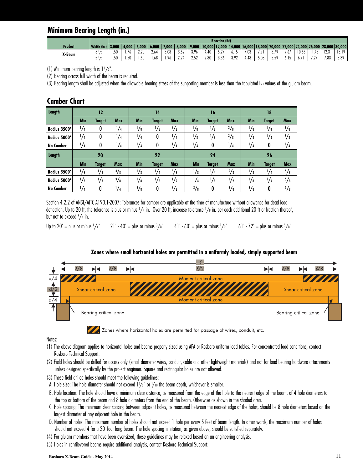### **Minimum Bearing Length (in.)**

|         |                     |              |                       |                  |                         |      |                                 |                    |             | <b>Reaction (lbf)</b> |                    |        |          |         |                |                                                                    |                    |               |                  |
|---------|---------------------|--------------|-----------------------|------------------|-------------------------|------|---------------------------------|--------------------|-------------|-----------------------|--------------------|--------|----------|---------|----------------|--------------------------------------------------------------------|--------------------|---------------|------------------|
| Product | Width (in.)<br>IN.J | 3,000        | 4,000                 | .000.            | 6,000                   | .000 | 8,000                           | 9,000              | $10.000$  ] |                       | 12.000 14.000      | 16.000 |          |         |                | 18,000    20,000    22,000    24,000    26,000    28,000    30,000 |                    |               |                  |
| X-Beam  | ັ                   | 51<br>J U    | $\overline{ }$<br>.16 | 2.20             | 0/4<br>2.6 <sup>p</sup> | 3.08 | 0.50<br>J.JL                    | 3.96               | . 40        | $\sim$<br>J.L         | 0.ID               | 7.03   | 701<br>. | 8.79    | 9.67           | 10.55                                                              | $\sqrt{2}$<br>1.43 | 30.23<br>12.J | 1210<br>I J. I / |
|         |                     | 51<br>$\sim$ | . 50                  | $\sim$<br>. . JU | $\sqrt{0}$<br>00        | 96،  | 224<br><b><i><u>L.L</u></i></b> | 752<br><b>L.JL</b> | 2.80        | 3.36                  | 397<br><b>J.72</b> | 4.48   | 5.03     | <u></u> | - -<br>$0.1$ . | <b>.</b>                                                           | 7.07<br>$-$        | 7.83          | 8.39             |

(1) Minimum bearing length is  $1\frac{1}{2}$ ".

(2) Bearing across full width of the beam is required.

(3) Bearing length shall be adjusted when the allowable bearing stress of the supporting member is less than the tabulated  $F_{c4}$  values of the glulam beam.

| <b>Camber Chart</b> |  |
|---------------------|--|
|---------------------|--|

| Length              |            | 12            |               |               | 14            |               |               | 16            |               |            | 18            |               |
|---------------------|------------|---------------|---------------|---------------|---------------|---------------|---------------|---------------|---------------|------------|---------------|---------------|
|                     | <b>Min</b> | <b>Target</b> | <b>Max</b>    | <b>Min</b>    | <b>Target</b> | <b>Max</b>    | <b>Min</b>    | Target        | <b>Max</b>    | <b>Min</b> | <b>Target</b> | <b>Max</b>    |
| <b>Radius 3500'</b> | 1/4        | 0             | $\frac{1}{4}$ | 1∕8           | $\frac{1}{8}$ | $\frac{3}{8}$ | $\frac{1}{8}$ | $\frac{1}{8}$ | 3/8           | '/8        | $\frac{1}{8}$ | $\frac{3}{8}$ |
| <b>Radius 5000'</b> | 1/4        | 0             | $\frac{1}{4}$ | $\frac{1}{4}$ | 0             | $\frac{1}{4}$ | り/8           | $/$ 8         | 3/8           | 1/8        | $\frac{1}{8}$ | 3/8           |
| <b>No Camber</b>    | 1/4        | 0             | $\frac{1}{4}$ | 1/4           | 0             | $\frac{1}{4}$ | $^{1}/_{4}$   | 0             | $\frac{1}{4}$ | $^{1/4}$   | 0             | $\frac{1}{4}$ |
|                     |            |               |               |               |               |               |               |               |               |            |               |               |
| Length              |            | 20            |               |               | 22            |               |               | 24            |               |            | 26            |               |
|                     | <b>Min</b> | <b>Target</b> | <b>Max</b>    | <b>Min</b>    | <b>Target</b> | <b>Max</b>    | <b>Min</b>    | Target        | <b>Max</b>    | <b>Min</b> | <b>Target</b> | <b>Max</b>    |
| <b>Radius 3500'</b> | 1/8        | 1/8           | $\frac{3}{8}$ | $\frac{1}{8}$ | $\frac{1}{4}$ | $\frac{5}{8}$ | $\frac{1}{8}$ | $\frac{1}{4}$ | $\frac{5}{8}$ | '∕8        | 1/4           | $\frac{5}{8}$ |
| Radius 5000'        | 1/8        | '/8           | $\frac{3}{8}$ | $\frac{1}{8}$ | '/8           | $\frac{1}{2}$ | $^{1}/_{4}$   | $/$ 8         | $\frac{1}{2}$ | り/8        | $\frac{1}{4}$ | $\frac{5}{8}$ |

Section 4.2.2 of ANSI/AITC A190.1-2007: Tolerances for camber are applicable at the time of manufacture without allowance for dead load deflection. Up to 20 ft, the tolerance is plus or minus 1/4 in. Over 20 ft, increase tolerance 1/8 in. per each additional 20 ft or fraction thereof, but not to exceed <sup>3</sup> /4 in.

Up to 20' = plus or minus  $\frac{1}{4}$ "  $21' - 40' =$  plus or minus  $\frac{3}{8}$ " 41' - 60' = plus or minus  $1/z$ "  $\frac{1}{2}$ " 61' - 72' = plus or minus  $\frac{5}{8}$ "



#### **Zones where small horizontal holes are permitted in a uniformly loaded, simply supported beam**

Notes:

- (1) The above diagram applies to horizontal holes and beams properly sized using APA or Rosboro uniform load tables. For concentrated load conditions, contact Rosboro Technical Support.
- (2) Field holes should be drilled for access only (small diameter wires, conduit, cable and other lightweight materials) and not for load bearing hardware attachments unless designed specifically by the project engineer. Square and rectangular holes are not allowed.
- (3) These field drilled holes should meet the following guidelines:
- A. Hole size: The hole diameter should not exceed 11 /2" or <sup>1</sup> /10 the beam depth, whichever is smaller.
- B. Hole location: The hole should have a minimum clear distance, as measured from the edge of the hole nearest edge of the beam, of 4 hole diameters to the top or bottom of the beam and 8 hole diameters from the end of the beam. Otherwise as shown in the shaded area.
- C. Hole spacing: The minimum clear spacing between adjacent holes, as measured between the nearest edge of the holes, should be 8 hole diameters based on the largest diameter of any adjacent hole in the beam.
- D. Number of holes: The maximum number of holes should not exceed 1 hole per every 5 feet of beam length. In other words, the maximum number of holes should not exceed 4 for a 20- foot long beam. The hole spacing limitation, as given above, should be satisfied separately.
- (4) For glulam members that have been over-sized, these guidelines may be relaxed based on an engineering analysis.
- (5) Holes in cantilevered beams require additional analysis, contact Rosboro Technical Support.